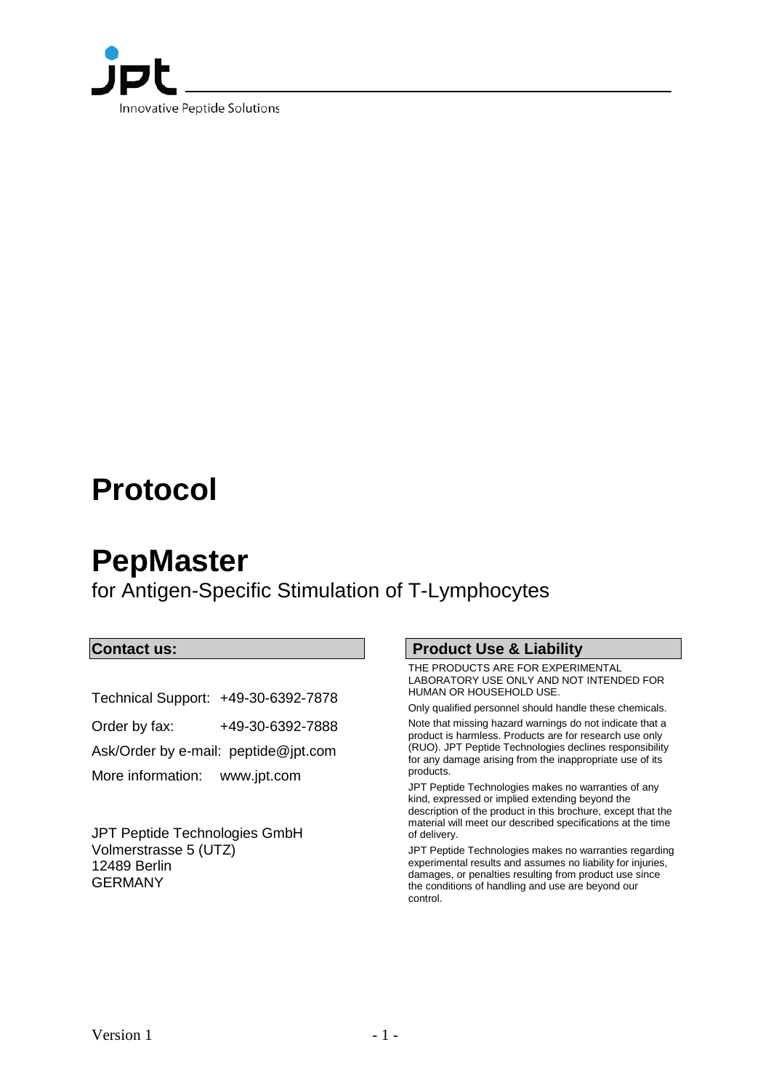

# **Protocol**

# **PepMaster**

for Antigen-Specific Stimulation of T-Lymphocytes

## **Contact us:**

Technical Support: +49-30-6392-7878 Order by fax: +49-30-6392-7888 Ask/Order by e-mail: peptide@jpt.com More information: [www.jpt.com](http://www.jpt.com/)

JPT Peptide Technologies GmbH Volmerstrasse 5 (UTZ) 12489 Berlin GERMANY

#### **Product Use & Liability**

THE PRODUCTS ARE FOR EXPERIMENTAL LABORATORY USE ONLY AND NOT INTENDED FOR HUMAN OR HOUSEHOLD USE.

Only qualified personnel should handle these chemicals.

Note that missing hazard warnings do not indicate that a product is harmless. Products are for research use only (RUO). JPT Peptide Technologies declines responsibility for any damage arising from the inappropriate use of its products.

JPT Peptide Technologies makes no warranties of any kind, expressed or implied extending beyond the description of the product in this brochure, except that the material will meet our described specifications at the time of delivery.

JPT Peptide Technologies makes no warranties regarding experimental results and assumes no liability for injuries, damages, or penalties resulting from product use since the conditions of handling and use are beyond our control.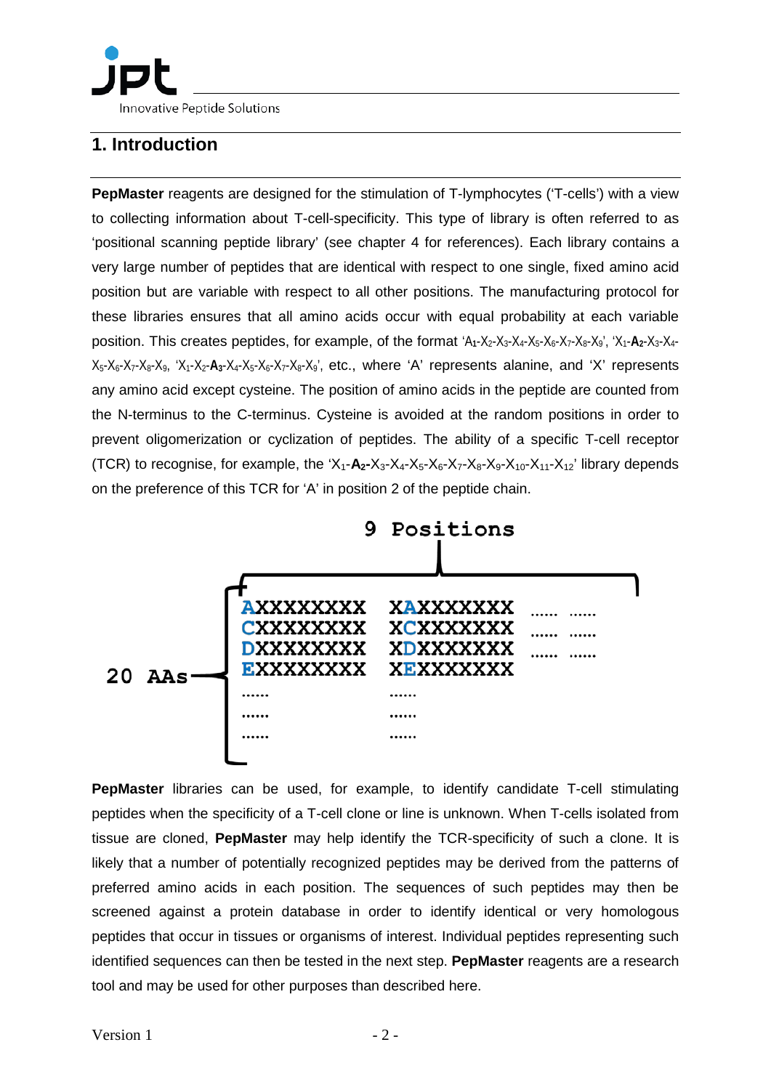Innovative Peptide Solutions

## **1. Introduction**

**PepMaster** reagents are designed for the stimulation of T-lymphocytes ('T-cells') with a view to collecting information about T-cell-specificity. This type of library is often referred to as 'positional scanning peptide library' (see chapter 4 for references). Each library contains a very large number of peptides that are identical with respect to one single, fixed amino acid position but are variable with respect to all other positions. The manufacturing protocol for these libraries ensures that all amino acids occur with equal probability at each variable position. This creates peptides, for example, of the format 'A<sub>1</sub>-X<sub>2</sub>-X<sub>3</sub>-X<sub>4</sub>-X<sub>5</sub>-X<sub>6</sub>-X<sub>7</sub>-X<sub>8</sub>-X<sub>9</sub>', 'X<sub>1</sub>-A<sub>2</sub>-X<sub>3</sub>-X<sub>4</sub>-X5-X6-X7-X8-X9, 'X1-X2-**A3**-X4-X5-X6-X7-X8-X9', etc., where 'A' represents alanine, and 'X' represents any amino acid except cysteine. The position of amino acids in the peptide are counted from the N-terminus to the C-terminus. Cysteine is avoided at the random positions in order to prevent oligomerization or cyclization of peptides. The ability of a specific T-cell receptor (TCR) to recognise, for example, the 'X<sub>1</sub>-A<sub>2</sub>-X<sub>3</sub>-X<sub>4</sub>-X<sub>5</sub>-X<sub>6</sub>-X<sub>7</sub>-X<sub>8</sub>-X<sub>9</sub>-X<sub>10</sub>-X<sub>11</sub>-X<sub>12</sub>' library depends on the preference of this TCR for 'A' in position 2 of the peptide chain.



**PepMaster** libraries can be used, for example, to identify candidate T-cell stimulating peptides when the specificity of a T-cell clone or line is unknown. When T-cells isolated from tissue are cloned, **PepMaster** may help identify the TCR-specificity of such a clone. It is likely that a number of potentially recognized peptides may be derived from the patterns of preferred amino acids in each position. The sequences of such peptides may then be screened against a protein database in order to identify identical or very homologous peptides that occur in tissues or organisms of interest. Individual peptides representing such identified sequences can then be tested in the next step. **PepMaster** reagents are a research tool and may be used for other purposes than described here.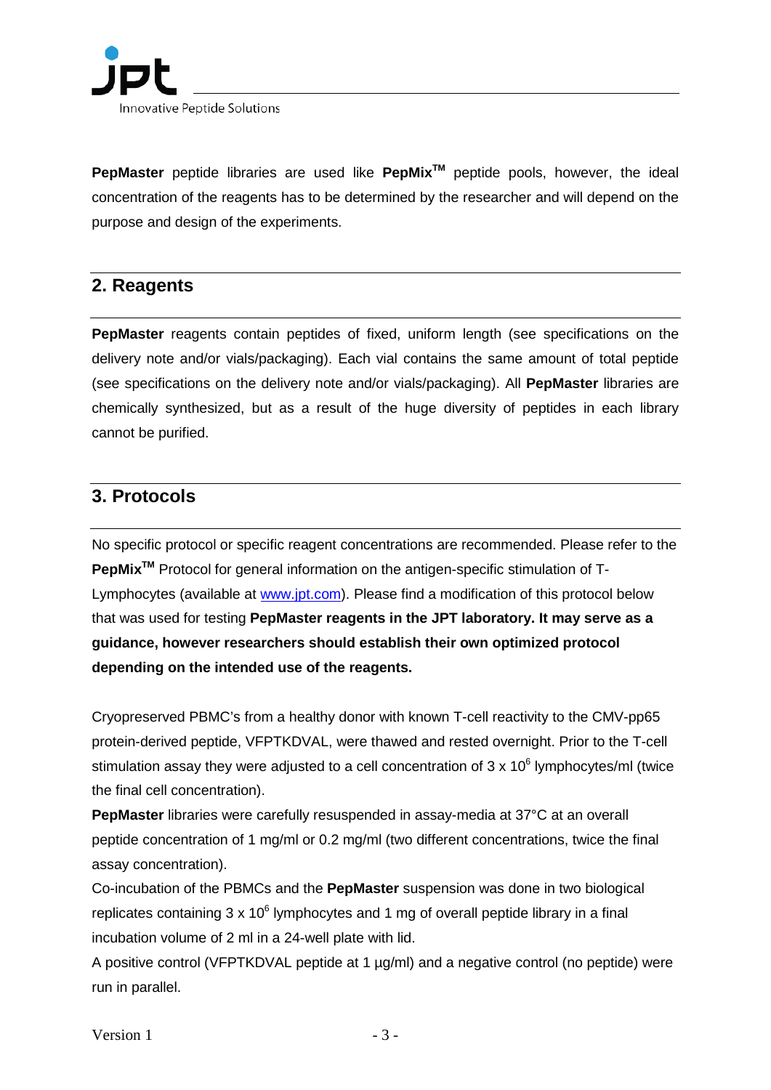

**PepMaster** peptide libraries are used like **PepMixTM** peptide pools, however, the ideal concentration of the reagents has to be determined by the researcher and will depend on the purpose and design of the experiments.

## **2. Reagents**

**PepMaster** reagents contain peptides of fixed, uniform length (see specifications on the delivery note and/or vials/packaging). Each vial contains the same amount of total peptide (see specifications on the delivery note and/or vials/packaging). All **PepMaster** libraries are chemically synthesized, but as a result of the huge diversity of peptides in each library cannot be purified.

## **3. Protocols**

No specific protocol or specific reagent concentrations are recommended. Please refer to the **PepMixTM** Protocol for general information on the antigen-specific stimulation of T-Lymphocytes (available at [www.jpt.com\)](http://www.jpt.com/). Please find a modification of this protocol below that was used for testing **PepMaster reagents in the JPT laboratory. It may serve as a guidance, however researchers should establish their own optimized protocol depending on the intended use of the reagents.**

Cryopreserved PBMC's from a healthy donor with known T-cell reactivity to the CMV-pp65 protein-derived peptide, VFPTKDVAL, were thawed and rested overnight. Prior to the T-cell stimulation assay they were adjusted to a cell concentration of  $3 \times 10^6$  lymphocytes/ml (twice the final cell concentration).

**PepMaster** libraries were carefully resuspended in assay-media at 37°C at an overall peptide concentration of 1 mg/ml or 0.2 mg/ml (two different concentrations, twice the final assay concentration).

Co-incubation of the PBMCs and the **PepMaster** suspension was done in two biological replicates containing  $3 \times 10^6$  lymphocytes and 1 mg of overall peptide library in a final incubation volume of 2 ml in a 24-well plate with lid.

A positive control (VFPTKDVAL peptide at 1 µg/ml) and a negative control (no peptide) were run in parallel.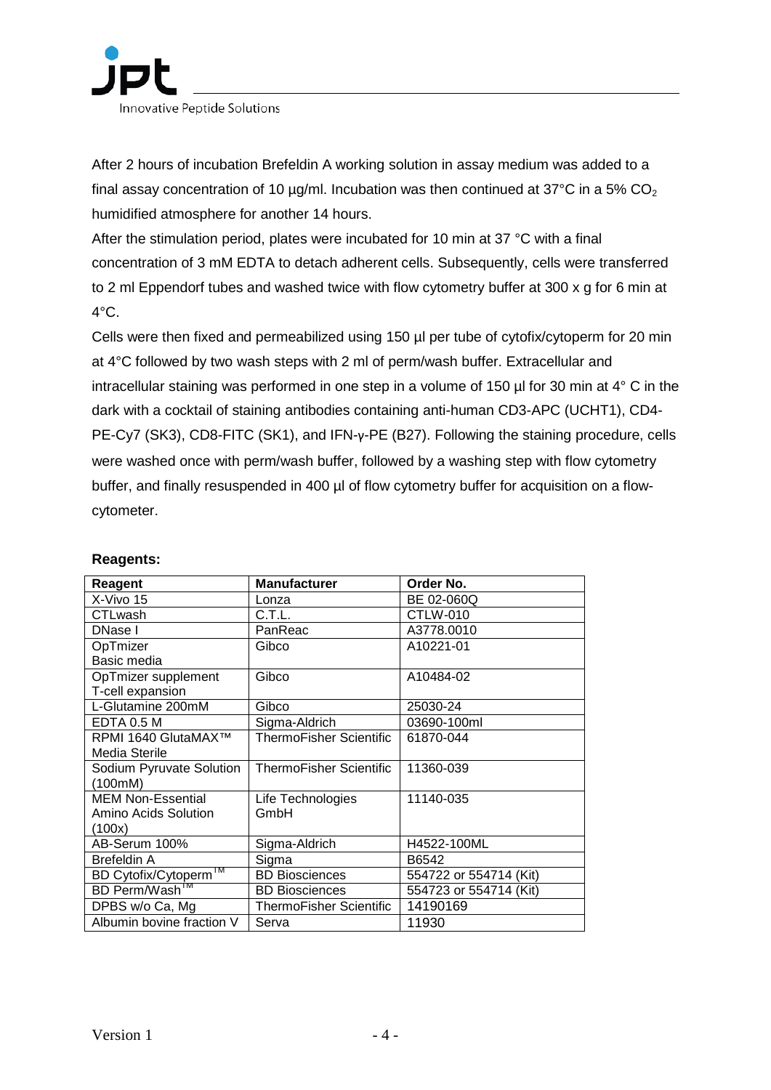

After 2 hours of incubation Brefeldin A working solution in assay medium was added to a final assay concentration of 10  $\mu$ g/ml. Incubation was then continued at 37°C in a 5% CO<sub>2</sub> humidified atmosphere for another 14 hours.

After the stimulation period, plates were incubated for 10 min at 37 °C with a final concentration of 3 mM EDTA to detach adherent cells. Subsequently, cells were transferred to 2 ml Eppendorf tubes and washed twice with flow cytometry buffer at 300 x g for 6 min at  $4^{\circ}$ C.

Cells were then fixed and permeabilized using 150 µl per tube of cytofix/cytoperm for 20 min at 4°C followed by two wash steps with 2 ml of perm/wash buffer. Extracellular and intracellular staining was performed in one step in a volume of 150 µl for 30 min at 4° C in the dark with a cocktail of staining antibodies containing anti-human CD3-APC (UCHT1), CD4- PE-Cy7 (SK3), CD8-FITC (SK1), and IFN-γ-PE (B27). Following the staining procedure, cells were washed once with perm/wash buffer, followed by a washing step with flow cytometry buffer, and finally resuspended in 400 µl of flow cytometry buffer for acquisition on a flowcytometer.

| Reagent                           | <b>Manufacturer</b>            | Order No.              |
|-----------------------------------|--------------------------------|------------------------|
| X-Vivo 15                         | Lonza                          | BE 02-060Q             |
| CTLwash                           | C.T.L.                         | CTLW-010               |
| DNase I                           | PanReac                        | A3778,0010             |
| OpTmizer                          | Gibco                          | A10221-01              |
| Basic media                       |                                |                        |
| OpTmizer supplement               | Gibco                          | A10484-02              |
| T-cell expansion                  |                                |                        |
| L-Glutamine 200mM                 | Gibco                          | 25030-24               |
| EDTA 0.5 M                        | Sigma-Aldrich                  | 03690-100ml            |
| RPMI 1640 GlutaMAX™               | <b>ThermoFisher Scientific</b> | 61870-044              |
| Media Sterile                     |                                |                        |
| Sodium Pyruvate Solution          | <b>ThermoFisher Scientific</b> | 11360-039              |
| (100mM)                           |                                |                        |
| <b>MEM Non-Essential</b>          | Life Technologies              | 11140-035              |
| Amino Acids Solution              | GmbH                           |                        |
| (100x)                            |                                |                        |
| AB-Serum 100%                     | Sigma-Aldrich                  | H4522-100ML            |
| <b>Brefeldin A</b>                | Sigma                          | B6542                  |
| BD Cytofix/Cytoperm <sup>IM</sup> | <b>BD Biosciences</b>          | 554722 or 554714 (Kit) |
| BD Perm/Wash <sup>1M</sup>        | <b>BD Biosciences</b>          | 554723 or 554714 (Kit) |
| DPBS w/o Ca, Mg                   | ThermoFisher Scientific        | 14190169               |
| Albumin bovine fraction V         | Serva                          | 11930                  |

#### **Reagents:**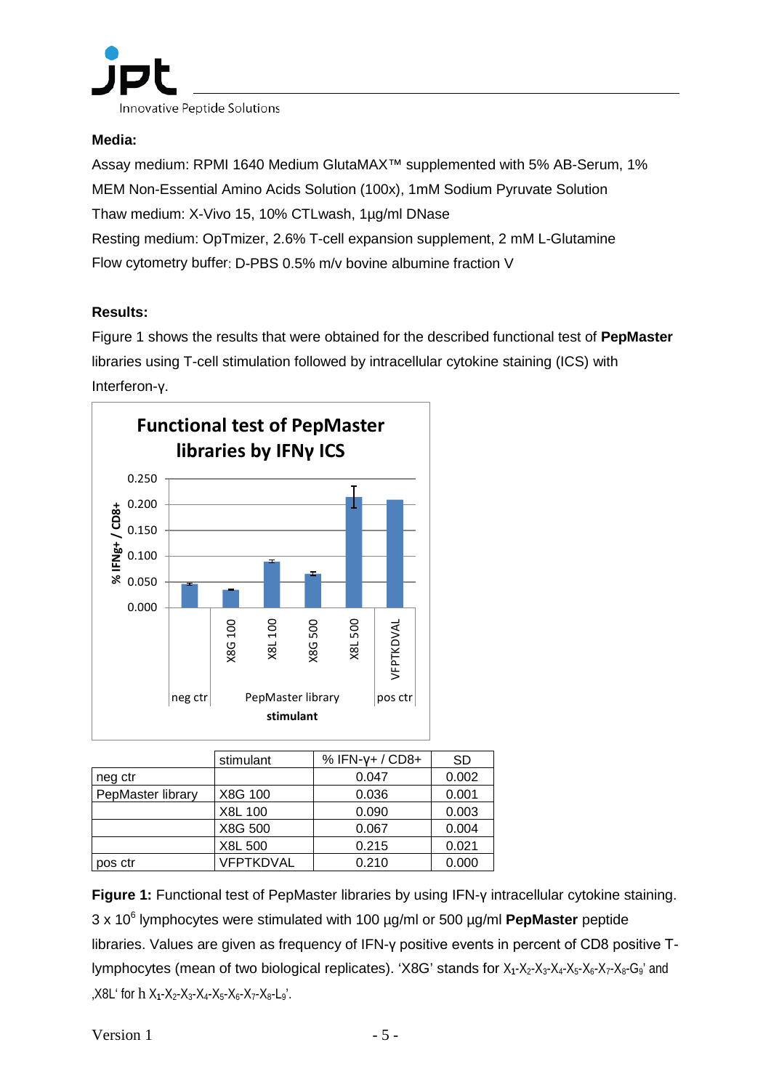

### **Media:**

Assay medium: RPMI 1640 Medium GlutaMAX™ supplemented with 5% AB-Serum, 1% MEM Non-Essential Amino Acids Solution (100x), 1mM Sodium Pyruvate Solution Thaw medium: X-Vivo 15, 10% CTLwash, 1µg/ml DNase Resting medium: OpTmizer, 2.6% T-cell expansion supplement, 2 mM L-Glutamine Flow cytometry buffer: D-PBS 0.5% m/v bovine albumine fraction V

## **Results:**

Figure 1 shows the results that were obtained for the described functional test of **PepMaster** libraries using T-cell stimulation followed by intracellular cytokine staining (ICS) with Interferon-γ.



|                   | stimulant | $%$ IFN- $V+$ / CD8+ | SD    |
|-------------------|-----------|----------------------|-------|
| neg ctr           |           | 0.047                | 0.002 |
| PepMaster library | X8G 100   | 0.036                | 0.001 |
|                   | X8L 100   | 0.090                | 0.003 |
|                   | X8G 500   | 0.067                | 0.004 |
|                   | X8L 500   | 0.215                | 0.021 |
| pos ctr           | VFPTKDVAL | 0.210                | 0.000 |

**Figure 1:** Functional test of PepMaster libraries by using IFN-γ intracellular cytokine staining. 3 x 106 lymphocytes were stimulated with 100 µg/ml or 500 µg/ml **PepMaster** peptide libraries. Values are given as frequency of IFN-γ positive events in percent of CD8 positive Tlymphocytes (mean of two biological replicates). 'X8G' stands for X<sub>1</sub>-X<sub>2</sub>-X<sub>3</sub>-X<sub>4</sub>-X<sub>5</sub>-X<sub>6</sub>-X<sub>7</sub>-X<sub>8</sub>-G<sub>9</sub>' and 'X8L' for h X**1**-X2-X3-X4-X5-X6-X7-X8-L9'.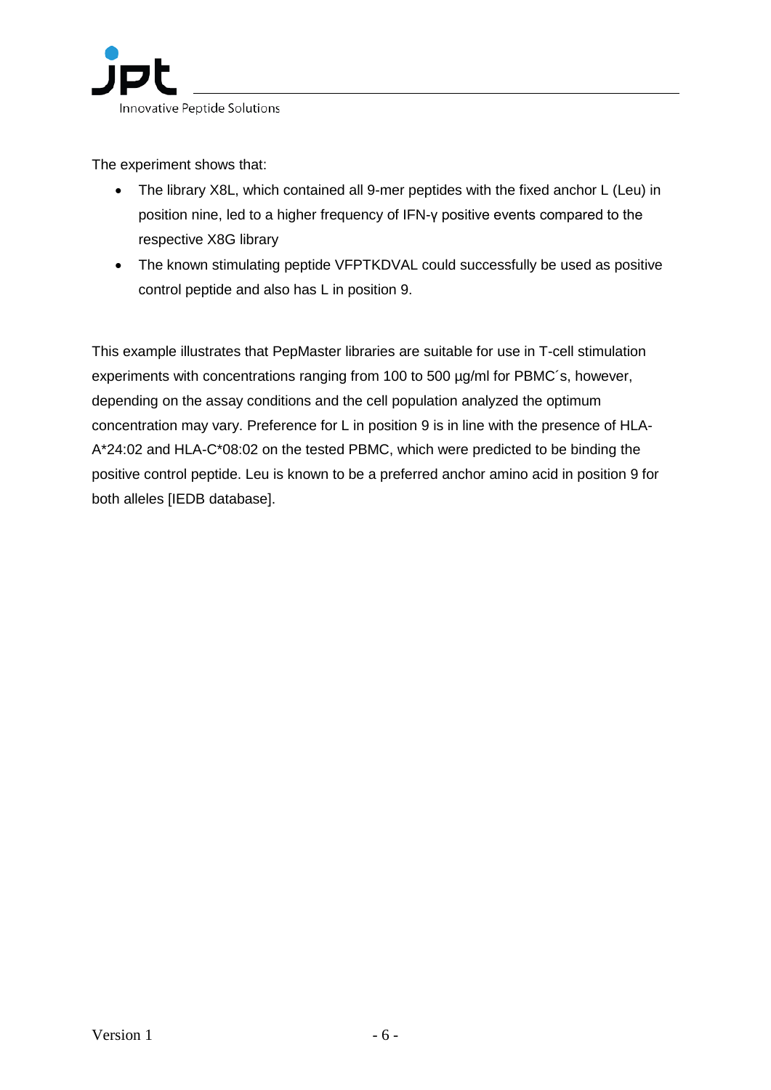The experiment shows that:

- The library X8L, which contained all 9-mer peptides with the fixed anchor L (Leu) in position nine, led to a higher frequency of IFN-γ positive events compared to the respective X8G library
- The known stimulating peptide VFPTKDVAL could successfully be used as positive control peptide and also has L in position 9.

This example illustrates that PepMaster libraries are suitable for use in T-cell stimulation experiments with concentrations ranging from 100 to 500 µg/ml for PBMC´s, however, depending on the assay conditions and the cell population analyzed the optimum concentration may vary. Preference for L in position 9 is in line with the presence of HLA-A\*24:02 and HLA-C\*08:02 on the tested PBMC, which were predicted to be binding the positive control peptide. Leu is known to be a preferred anchor amino acid in position 9 for both alleles [IEDB database].